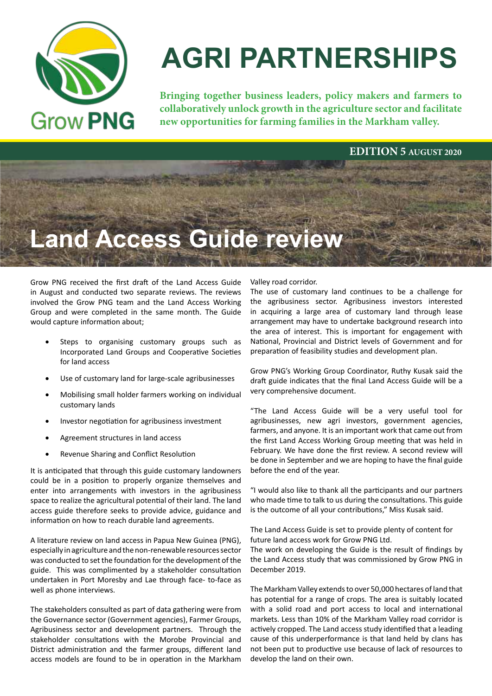

# **AGRI PARTNERSHIPS**

**Bringing together business leaders, policy makers and farmers to collaboratively unlock growth in the agriculture sector and facilitate new opportunities for farming families in the Markham valley.**

### **EDITION 5 AUGUST 2020**

## **Land Access Guide review**

Grow PNG received the first draft of the Land Access Guide in August and conducted two separate reviews. The reviews involved the Grow PNG team and the Land Access Working Group and were completed in the same month. The Guide would capture information about;

- Steps to organising customary groups such as Incorporated Land Groups and Cooperative Societies for land access
- Use of customary land for large-scale agribusinesses
- Mobilising small holder farmers working on individual customary lands
- Investor negotiation for agribusiness investment
- Agreement structures in land access
- Revenue Sharing and Conflict Resolution

It is anticipated that through this guide customary landowners could be in a position to properly organize themselves and enter into arrangements with investors in the agribusiness space to realize the agricultural potential of their land. The land access guide therefore seeks to provide advice, guidance and information on how to reach durable land agreements.

A literature review on land access in Papua New Guinea (PNG), especially in agriculture and the non-renewable resources sector was conducted to set the foundation for the development of the guide. This was complimented by a stakeholder consultation undertaken in Port Moresby and Lae through face- to-face as well as phone interviews.

The stakeholders consulted as part of data gathering were from the Governance sector (Government agencies), Farmer Groups, Agribusiness sector and development partners. Through the stakeholder consultations with the Morobe Provincial and District administration and the farmer groups, different land access models are found to be in operation in the Markham Valley road corridor.

The use of customary land continues to be a challenge for the agribusiness sector. Agribusiness investors interested in acquiring a large area of customary land through lease arrangement may have to undertake background research into the area of interest. This is important for engagement with National, Provincial and District levels of Government and for preparation of feasibility studies and development plan.

Grow PNG's Working Group Coordinator, Ruthy Kusak said the draft guide indicates that the final Land Access Guide will be a very comprehensive document.

"The Land Access Guide will be a very useful tool for agribusinesses, new agri investors, government agencies, farmers, and anyone. It is an important work that came out from the first Land Access Working Group meeting that was held in February. We have done the first review. A second review will be done in September and we are hoping to have the final guide before the end of the year.

"I would also like to thank all the participants and our partners who made time to talk to us during the consultations. This guide is the outcome of all your contributions," Miss Kusak said.

The Land Access Guide is set to provide plenty of content for future land access work for Grow PNG Ltd.

The work on developing the Guide is the result of findings by the Land Access study that was commissioned by Grow PNG in December 2019.

The Markham Valley extends to over 50,000 hectares of land that has potential for a range of crops. The area is suitably located with a solid road and port access to local and international markets. Less than 10% of the Markham Valley road corridor is actively cropped. The Land access study identified that a leading cause of this underperformance is that land held by clans has not been put to productive use because of lack of resources to develop the land on their own.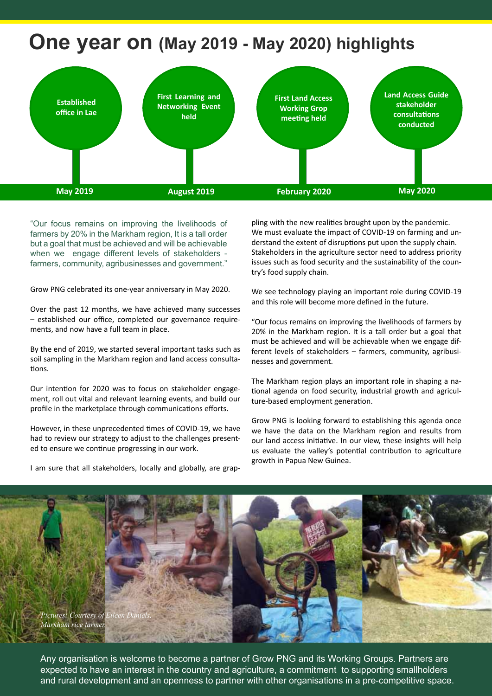### **One year on (May 2019 - May 2020) highlights**



"Our focus remains on improving the livelihoods of farmers by 20% in the Markham region, It is a tall order but a goal that must be achieved and will be achievable when we engage different levels of stakeholders farmers, community, agribusinesses and government."

Grow PNG celebrated its one-year anniversary in May 2020.

Over the past 12 months, we have achieved many successes – established our office, completed our governance requirements, and now have a full team in place.

By the end of 2019, we started several important tasks such as soil sampling in the Markham region and land access consultations.

Our intention for 2020 was to focus on stakeholder engagement, roll out vital and relevant learning events, and build our profile in the marketplace through communications efforts.

However, in these unprecedented times of COVID-19, we have had to review our strategy to adjust to the challenges presented to ensure we continue progressing in our work.

pling with the new realities brought upon by the pandemic. We must evaluate the impact of COVID-19 on farming and understand the extent of disruptions put upon the supply chain. Stakeholders in the agriculture sector need to address priority issues such as food security and the sustainability of the country's food supply chain.

We see technology playing an important role during COVID-19 and this role will become more defined in the future.

"Our focus remains on improving the livelihoods of farmers by 20% in the Markham region. It is a tall order but a goal that must be achieved and will be achievable when we engage different levels of stakeholders – farmers, community, agribusinesses and government.

The Markham region plays an important role in shaping a national agenda on food security, industrial growth and agriculture-based employment generation.

Grow PNG is looking forward to establishing this agenda once we have the data on the Markham region and results from our land access initiative. In our view, these insights will help us evaluate the valley's potential contribution to agriculture growth in Papua New Guinea.



Any organisation is welcome to become a partner of Grow PNG and its Working Groups. Partners are expected to have an interest in the country and agriculture, a commitment to supporting smallholders and rural development and an openness to partner with other organisations in a pre-competitive space.

I am sure that all stakeholders, locally and globally, are grap-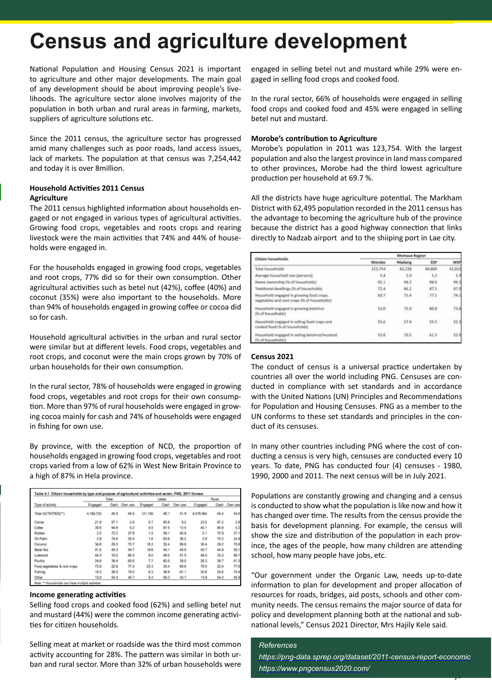### **Census and agriculture development**

National Population and Housing Census 2021 is important to agriculture and other major developments. The main goal of any development should be about improving people's livelihoods. The agriculture sector alone involves majority of the population in both urban and rural areas in farming, markets, suppliers of agriculture solutions etc.

Since the 2011 census, the agriculture sector has progressed amid many challenges such as poor roads, land access issues, lack of markets. The population at that census was 7,254,442 and today it is over 8million.

#### **Household Activities 2011 Census Agriculture**

The 2011 census highlighted information about households engaged or not engaged in various types of agricultural activities. Growing food crops, vegetables and roots crops and rearing livestock were the main activities that 74% and 44% of households were engaged in.

For the households engaged in growing food crops, vegetables and root crops, 77% did so for their own consumption. Other agricultural activities such as betel nut (42%), coffee (40%) and coconut (35%) were also important to the households. More than 94% of households engaged in growing coffee or cocoa did so for cash.

Household agricultural activities in the urban and rural sector were similar but at different levels. Food crops, vegetables and root crops, and coconut were the main crops grown by 70% of urban households for their own consumption.

In the rural sector, 78% of households were engaged in growing food crops, vegetables and root crops for their own consumption. More than 97% of rural households were engaged in growing cocoa mainly for cash and 74% of households were engaged in fishing for own use.

By province, with the exception of NCD, the proportion of households engaged in growing food crops, vegetables and root crops varied from a low of 62% in West New Britain Province to a high of 87% in Hela province.

| Type of activity             | Total     |      |         | Urban   |      |         | Rural     |      |         |
|------------------------------|-----------|------|---------|---------|------|---------|-----------|------|---------|
|                              | Engaged   | Cash | Own use | Engaged | Cash | Own use | Engaged   | Cash | Own use |
| Total ACTIVITIES(**)         | 4.199.723 | 45.5 | 54.5    | 121,159 | 48.1 | 51.9    | 4.078.564 | 45.4 | 54.6    |
| Cocoa                        | 21.8      | 97.1 | 29      | 5.7     | 90.8 | 9.2     | 23.5      | 97.2 | 2.8     |
| Colee                        | 39.6      | 94.8 | 5.2     | 5.5     | 87.5 | 12.5    | 43.1      | 94.8 | \$2     |
| Rubber                       | 2.0       | 72.2 | 27.8    | 1.2     | 59.1 | 40.9    | 21        | 72.9 | 27.1    |
| Oil Paim                     | 2.8       | 746  | 25.4    | 1.6     | 63.8 | 36.2    | 2.9       | 75.2 | 24.8    |
| Coconut                      | 34.6      | 29.3 | 70 7    | 16.2    | 30.4 | 69.6    | 36.4      | 29.2 | 70.8    |
| <b>Betel Nut</b>             | 41.5      | 45.3 | 54.7    | 19.6    | 54.1 | 45.9    | 43.7      | 44.9 | 55.1    |
| Livestock                    | 44.3      | 33.5 | 66.5    | 8.0     | 48.5 | 51.5    | 48.0      | 33.3 | 66.7    |
| Poultry                      | 24.6      | 39.4 | 60.6    | 7.7     | 60.5 | 39.5    | 26.3      | 38.7 | 61.3    |
| Food wegetables & root crops | 73.9      | 22.6 | 77.4    | 23.3    | 30.4 | 69.6    | 79.0      | 22.4 | 77.6    |
| Fishing                      | 19.3      | 26.0 | 740     | 63      | 38.9 | 61.1    | 20.6      | 25.6 | 74.4    |
| Other                        | 13.0      | 54.3 | 45.7    | 5.4     | 56.3 | 43.7    | 13.8      | 54.2 | 45.8    |

#### **Income generating activities**

Selling food crops and cooked food (62%) and selling betel nut and mustard (44%) were the common income generating activities for citizen households.

Selling meat at market or roadside was the third most common activity accounting for 28%. The pattern was similar in both urban and rural sector. More than 32% of urban households were engaged in selling betel nut and mustard while 29% were engaged in selling food crops and cooked food.

In the rural sector, 66% of households were engaged in selling food crops and cooked food and 45% were engaged in selling betel nut and mustard.

#### **Morobe's contribution to Agriculture**

Morobe's population in 2011 was 123,754. With the largest population and also the largest province in land mass compared to other provinces, Morobe had the third lowest agriculture production per household at 69.7 %.

All the districts have huge agriculture potential. The Markham District with 62,495 population recorded in the 2011 census has the advantage to becoming the agriculture hub of the province because the district has a good highway connection that links directly to Nadzab airport and to the shiiping port in Lae city.

| <b>Citizen households</b>                                                               | Momase Region |                      |              |        |  |  |  |
|-----------------------------------------------------------------------------------------|---------------|----------------------|--------------|--------|--|--|--|
|                                                                                         | Morobe        | Madang               | ESP          | WSP    |  |  |  |
| Total households                                                                        | 123,754       | 83,238               | 34,800       | 42,010 |  |  |  |
| Average household size (persons)                                                        | 5.4           | 5.9                  | 53           | 33     |  |  |  |
| Home ownership (% of households)                                                        | 92.1          | 94.2                 | 94.0         | 94.5   |  |  |  |
| Traditional dwellings (% of households)                                                 | 72.4          | 86.2                 | 87.5         | 87.0   |  |  |  |
| Household engaged in growing food crops.<br>vegetables and root crops (% of households) | $-69.7$       | 75.4                 | 77.2         | 74,1   |  |  |  |
| Household engaged in growing betehnut<br>(% of households)                              | $-53.0$       | 75.9<br>995B)        | 前日米          | 73.6   |  |  |  |
| Household engaged in selling food crops and<br>cooked food (% of households)            | 55.6          | 57.4<br><b>COLLA</b> | 55.5<br>- 17 | 52.    |  |  |  |
| Household engaged in selling betelnut/mustard<br>(% of households)                      | \$5.0         | 70.5                 | 61.5         | 53.9   |  |  |  |

#### **Census 2021**

The conduct of census is a universal practice undertaken by countries all over the world including PNG. Censuses are conducted in compliance with set standards and in accordance with the United Nations (UN) Principles and Recommendations for Population and Housing Censuses. PNG as a member to the UN conforms to these set standards and principles in the conduct of its censuses.

In many other countries including PNG where the cost of conducting a census is very high, censuses are conducted every 10 years. To date, PNG has conducted four (4) censuses - 1980, 1990, 2000 and 2011. The next census will be in July 2021.

Populations are constantly growing and changing and a census is conducted to show what the population is like now and how it has changed over time. The results from the census provide the basis for development planning. For example, the census will show the size and distribution of the population in each province, the ages of the people, how many children are attending school, how many people have jobs, etc.

"Our government under the Organic Law, needs up-to-date information to plan for development and proper allocation of resources for roads, bridges, aid posts, schools and other community needs. The census remains the major source of data for policy and development planning both at the national and subnational levels," Census 2021 Director, Mrs Hajily Kele said.

#### *References*

*https://png-data.sprep.org/dataset/2011-census-report-economic https://www.pngcensus2020.com/*

**p3**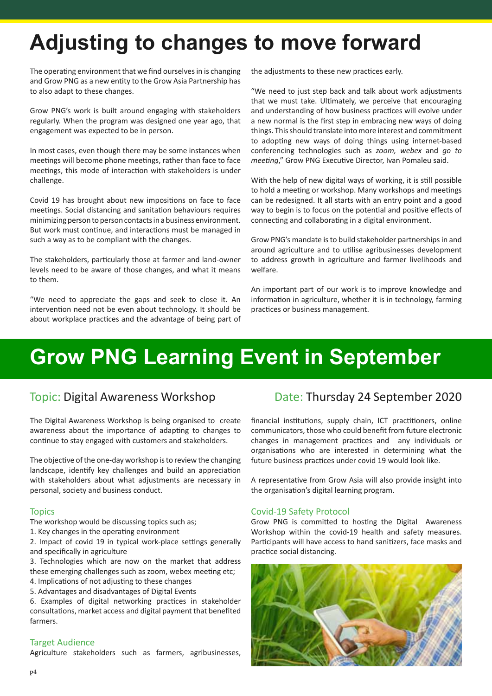## **Adjusting to changes to move forward**

The operating environment that we find ourselves in is changing and Grow PNG as a new entity to the Grow Asia Partnership has to also adapt to these changes.

Grow PNG's work is built around engaging with stakeholders regularly. When the program was designed one year ago, that engagement was expected to be in person.

In most cases, even though there may be some instances when meetings will become phone meetings, rather than face to face meetings, this mode of interaction with stakeholders is under challenge.

Covid 19 has brought about new impositions on face to face meetings. Social distancing and sanitation behaviours requires minimizing person to person contacts in a business environment. But work must continue, and interactions must be managed in such a way as to be compliant with the changes.

The stakeholders, particularly those at farmer and land-owner levels need to be aware of those changes, and what it means to them.

"We need to appreciate the gaps and seek to close it. An intervention need not be even about technology. It should be about workplace practices and the advantage of being part of the adjustments to these new practices early.

"We need to just step back and talk about work adjustments that we must take. Ultimately, we perceive that encouraging and understanding of how business practices will evolve under a new normal is the first step in embracing new ways of doing things. This should translate into more interest and commitment to adopting new ways of doing things using internet-based conferencing technologies such as *zoom, webex* and *go to meeting*," Grow PNG Executive Director, Ivan Pomaleu said.

With the help of new digital ways of working, it is still possible to hold a meeting or workshop. Many workshops and meetings can be redesigned. It all starts with an entry point and a good way to begin is to focus on the potential and positive effects of connecting and collaborating in a digital environment.

Grow PNG's mandate is to build stakeholder partnerships in and around agriculture and to utilise agribusinesses development to address growth in agriculture and farmer livelihoods and welfare.

An important part of our work is to improve knowledge and information in agriculture, whether it is in technology, farming practices or business management.

### **Grow PNG Learning Event in September**

The Digital Awareness Workshop is being organised to create awareness about the importance of adapting to changes to continue to stay engaged with customers and stakeholders.

The objective of the one-day workshop is to review the changing landscape, identify key challenges and build an appreciation with stakeholders about what adjustments are necessary in personal, society and business conduct.

#### **Topics**

The workshop would be discussing topics such as;

- 1. Key changes in the operating environment
- 2. Impact of covid 19 in typical work-place settings generally and specifically in agriculture
- 3. Technologies which are now on the market that address these emerging challenges such as zoom, webex meeting etc;
- 4. Implications of not adjusting to these changes
- 5. Advantages and disadvantages of Digital Events

6. Examples of digital networking practices in stakeholder consultations, market access and digital payment that benefited farmers.

#### Target Audience

Agriculture stakeholders such as farmers, agribusinesses,

### Topic: Digital Awareness Workshop Date: Thursday 24 September 2020

financial institutions, supply chain, ICT practitioners, online communicators, those who could benefit from future electronic changes in management practices and any individuals or organisations who are interested in determining what the future business practices under covid 19 would look like.

A representative from Grow Asia will also provide insight into the organisation's digital learning program.

#### Covid-19 Safety Protocol

Grow PNG is committed to hosting the Digital Awareness Workshop within the covid-19 health and safety measures. Participants will have access to hand sanitizers, face masks and practice social distancing.

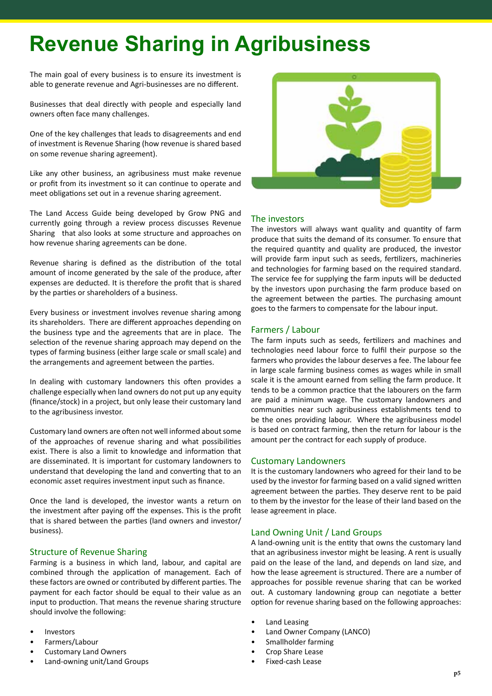## **Revenue Sharing in Agribusiness**

The main goal of every business is to ensure its investment is able to generate revenue and Agri-businesses are no different.

Businesses that deal directly with people and especially land owners often face many challenges.

One of the key challenges that leads to disagreements and end of investment is Revenue Sharing (how revenue is shared based on some revenue sharing agreement).

Like any other business, an agribusiness must make revenue or profit from its investment so it can continue to operate and meet obligations set out in a revenue sharing agreement.

The Land Access Guide being developed by Grow PNG and currently going through a review process discusses Revenue Sharing that also looks at some structure and approaches on how revenue sharing agreements can be done.

Revenue sharing is defined as the distribution of the total amount of income generated by the sale of the produce, after expenses are deducted. It is therefore the profit that is shared by the parties or shareholders of a business.

Every business or investment involves revenue sharing among its shareholders. There are different approaches depending on the business type and the agreements that are in place. The selection of the revenue sharing approach may depend on the types of farming business (either large scale or small scale) and the arrangements and agreement between the parties.

In dealing with customary landowners this often provides a challenge especially when land owners do not put up any equity (finance/stock) in a project, but only lease their customary land to the agribusiness investor.

Customary land owners are often not well informed about some of the approaches of revenue sharing and what possibilities exist. There is also a limit to knowledge and information that are disseminated. It is important for customary landowners to understand that developing the land and converting that to an economic asset requires investment input such as finance.

Once the land is developed, the investor wants a return on the investment after paying off the expenses. This is the profit that is shared between the parties (land owners and investor/ business).

#### Structure of Revenue Sharing

Farming is a business in which land, labour, and capital are combined through the application of management. Each of these factors are owned or contributed by different parties. The payment for each factor should be equal to their value as an input to production. That means the revenue sharing structure should involve the following:

- **Investors**
- Farmers/Labour
- Customary Land Owners
- Land-owning unit/Land Groups



#### The investors

The investors will always want quality and quantity of farm produce that suits the demand of its consumer. To ensure that the required quantity and quality are produced, the investor will provide farm input such as seeds, fertilizers, machineries and technologies for farming based on the required standard. The service fee for supplying the farm inputs will be deducted by the investors upon purchasing the farm produce based on the agreement between the parties. The purchasing amount goes to the farmers to compensate for the labour input.

#### Farmers / Labour

The farm inputs such as seeds, fertilizers and machines and technologies need labour force to fulfil their purpose so the farmers who provides the labour deserves a fee. The labour fee in large scale farming business comes as wages while in small scale it is the amount earned from selling the farm produce. It tends to be a common practice that the labourers on the farm are paid a minimum wage. The customary landowners and communities near such agribusiness establishments tend to be the ones providing labour. Where the agribusiness model is based on contract farming, then the return for labour is the amount per the contract for each supply of produce.

#### Customary Landowners

It is the customary landowners who agreed for their land to be used by the investor for farming based on a valid signed written agreement between the parties. They deserve rent to be paid to them by the investor for the lease of their land based on the lease agreement in place.

#### Land Owning Unit / Land Groups

A land-owning unit is the entity that owns the customary land that an agribusiness investor might be leasing. A rent is usually paid on the lease of the land, and depends on land size, and how the lease agreement is structured. There are a number of approaches for possible revenue sharing that can be worked out. A customary landowning group can negotiate a better option for revenue sharing based on the following approaches:

- Land Leasing
- Land Owner Company (LANCO)
- Smallholder farming
- Crop Share Lease
- Fixed-cash Lease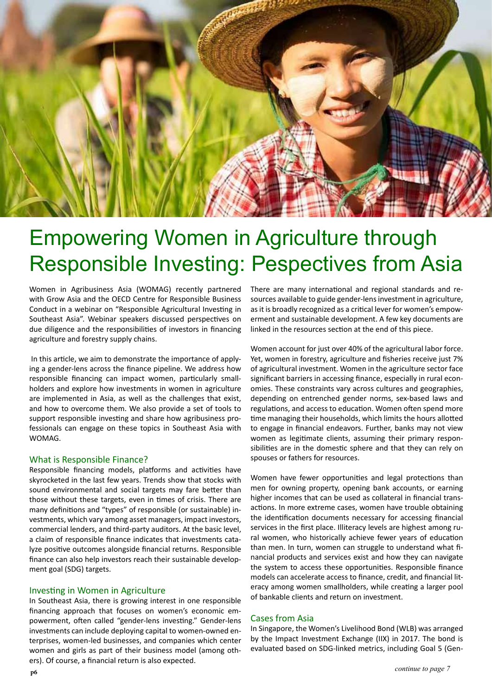

### Empowering Women in Agriculture through Responsible Investing: Pespectives from Asia

Women in Agribusiness Asia (WOMAG) recently partnered with Grow Asia and the OECD Centre for Responsible Business Conduct in a webinar on "Responsible Agricultural Investing in Southeast Asia". Webinar speakers discussed perspectives on due diligence and the responsibilities of investors in financing agriculture and forestry supply chains.

 In this article, we aim to demonstrate the importance of applying a gender-lens across the finance pipeline. We address how responsible financing can impact women, particularly smallholders and explore how investments in women in agriculture are implemented in Asia, as well as the challenges that exist, and how to overcome them. We also provide a set of tools to support responsible investing and share how agribusiness professionals can engage on these topics in Southeast Asia with WOMAG.

#### What is Responsible Finance?

Responsible financing models, platforms and activities have skyrocketed in the last few years. Trends show that stocks with sound environmental and social targets may fare better than those without these targets, even in times of crisis. There are many definitions and "types" of responsible (or sustainable) investments, which vary among asset managers, impact investors, commercial lenders, and third-party auditors. At the basic level, a claim of responsible finance indicates that investments catalyze positive outcomes alongside financial returns. Responsible finance can also help investors reach their sustainable development goal (SDG) targets.

#### Investing in Women in Agriculture

In Southeast Asia, there is growing interest in one responsible financing approach that focuses on women's economic empowerment, often called "gender-lens investing." Gender-lens investments can include deploying capital to women-owned enterprises, women-led businesses, and companies which center women and girls as part of their business model (among others). Of course, a financial return is also expected.

There are many international and regional standards and resources available to guide gender-lens investment in agriculture, as it is broadly recognized as a critical lever for women's empowerment and sustainable development. A few key documents are linked in the resources section at the end of this piece.

Women account for just over 40% of the agricultural labor force. Yet, women in forestry, agriculture and fisheries receive just 7% of agricultural investment. Women in the agriculture sector face significant barriers in accessing finance, especially in rural economies. These constraints vary across cultures and geographies, depending on entrenched gender norms, sex-based laws and regulations, and access to education. Women often spend more time managing their households, which limits the hours allotted to engage in financial endeavors. Further, banks may not view women as legitimate clients, assuming their primary responsibilities are in the domestic sphere and that they can rely on spouses or fathers for resources.

Women have fewer opportunities and legal protections than men for owning property, opening bank accounts, or earning higher incomes that can be used as collateral in financial transactions. In more extreme cases, women have trouble obtaining the identification documents necessary for accessing financial services in the first place. Illiteracy levels are highest among rural women, who historically achieve fewer years of education than men. In turn, women can struggle to understand what financial products and services exist and how they can navigate the system to access these opportunities. Responsible finance models can accelerate access to finance, credit, and financial literacy among women smallholders, while creating a larger pool of bankable clients and return on investment.

#### Cases from Asia

In Singapore, the Women's Livelihood Bond (WLB) was arranged by the Impact Investment Exchange (IIX) in 2017. The bond is evaluated based on SDG-linked metrics, including Goal 5 (Gen-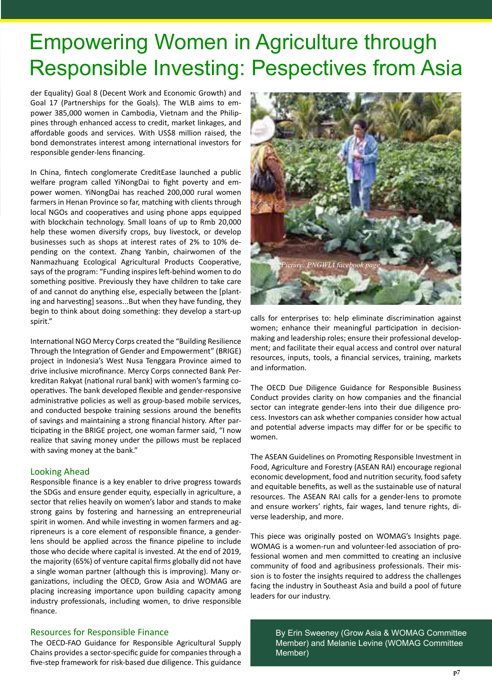### Empowering Women in Agriculture through Responsible Investing: Pespectives from Asia

der Equality) Goal 8 (Decent Work and Economic Growth) and Goal 17 (Partnerships for the Goals). The WLB aims to empower 385,000 women in Cambodia, Vietnam and the Philippines through enhanced access to credit, market linkages, and affordable goods and services. With US\$8 million raised, the bond demonstrates interest among international investors for responsible gender-lens financing.

In China, fintech conglomerate CreditEase launched a public welfare program called YiNongDai to fight poverty and empower women. YiNongDai has reached 200,000 rural women farmers in Henan Province so far, matching with clients through local NGOs and cooperatives and using phone apps equipped with blockchain technology. Small loans of up to Rmb 20,000 help these women diversify crops, buy livestock, or develop businesses such as shops at interest rates of 2% to 10% depending on the context. Zhang Yanbin, chairwomen of the Nanmazhuang Ecological Agricultural Products Cooperative, says of the program: "Funding inspires left-behind women to do something positive. Previously they have children to take care of and cannot do anything else, especially between the [planting and harvesting] seasons...But when they have funding, they begin to think about doing something: they develop a start-up spirit."

International NGO Mercy Corps created the "Building Resilience Through the Integration of Gender and Empowerment" (BRIGE) project in Indonesia's West Nusa Tenggara Province aimed to drive inclusive microfinance. Mercy Corps connected Bank Perkreditan Rakyat (national rural bank) with women's farming cooperatives. The bank developed flexible and gender-responsive administrative policies as well as group-based mobile services, and conducted bespoke training sessions around the benefits of savings and maintaining a strong financial history. After participating in the BRIGE project, one woman farmer said, "I now realize that saving money under the pillows must be replaced with saving money at the bank."

#### Looking Ahead

Responsible finance is a key enabler to drive progress towards the SDGs and ensure gender equity, especially in agriculture, a sector that relies heavily on women's labor and stands to make strong gains by fostering and harnessing an entrepreneurial spirit in women. And while investing in women farmers and agripreneurs is a core element of responsible finance, a genderlens should be applied across the finance pipeline to include those who decide where capital is invested. At the end of 2019, the majority (65%) of venture capital firms globally did not have a single woman partner (although this is improving). Many organizations, including the OECD, Grow Asia and WOMAG are placing increasing importance upon building capacity among industry professionals, including women, to drive responsible finance.

#### Resources for Responsible Finance

The OECD-FAO Guidance for Responsible Agricultural Supply Chains provides a sector-specific guide for companies through a five-step framework for risk-based due diligence. This guidance



calls for enterprises to: help eliminate discrimination against women; enhance their meaningful participation in decisionmaking and leadership roles; ensure their professional development; and facilitate their equal access and control over natural resources, inputs, tools, a financial services, training, markets and information.

The OECD Due Diligence Guidance for Responsible Business Conduct provides clarity on how companies and the financial sector can integrate gender-lens into their due diligence process. Investors can ask whether companies consider how actual and potential adverse impacts may differ for or be specific to women.

The ASEAN Guidelines on Promoting Responsible Investment in Food, Agriculture and Forestry (ASEAN RAI) encourage regional economic development, food and nutrition security, food safety and equitable benefits, as well as the sustainable use of natural resources. The ASEAN RAI calls for a gender-lens to promote and ensure workers' rights, fair wages, land tenure rights, diverse leadership, and more.

This piece was originally posted on WOMAG's Insights page. WOMAG is a women-run and volunteer-led association of professional women and men committed to creating an inclusive community of food and agribusiness professionals. Their mission is to foster the insights required to address the challenges facing the industry in Southeast Asia and build a pool of future leaders for our industry.

> By Erin Sweeney (Grow Asia & WOMAG Committee Member) and Melanie Levine (WOMAG Committee Member)